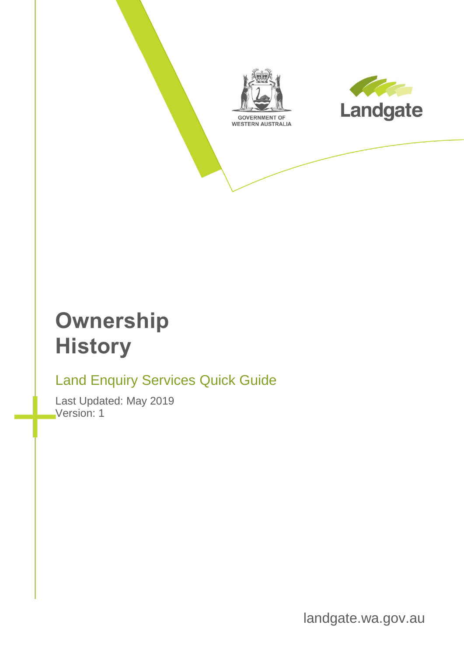



## **Ownership History**

#### Land Enquiry Services Quick Guide

Last Updated: May 2019 Version: 1

landgate.wa.gov.au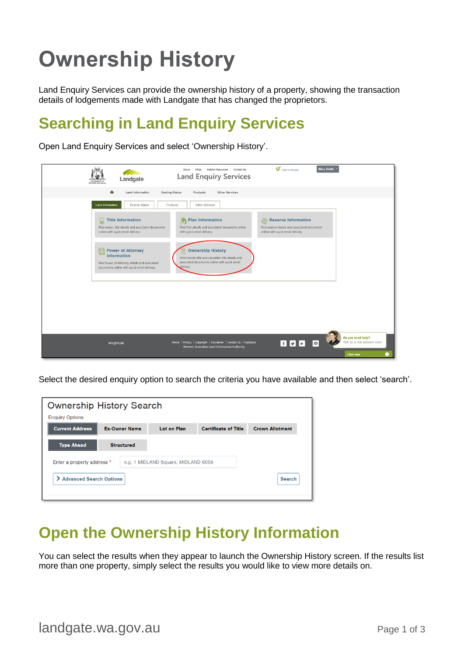# **Ownership History**

Land Enquiry Services can provide the ownership history of a property, showing the transaction details of lodgements made with Landgate that has changed the proprietors.

#### **Searching in Land Enquiry Services**

Open Land Enquiry Services and select 'Ownership History'.

| Landgate<br>GOVERMENT OF<br><b><i>NESTERN AUSTRALIA</i></b>                                                                                 | Helpful Resources Contact Us<br>FAQs<br>About<br><b>Land Enquiry Services</b>                                                               | $\frac{1}{2}$ Cart is empty<br><b>Mary Smith</b>                                                         |
|---------------------------------------------------------------------------------------------------------------------------------------------|---------------------------------------------------------------------------------------------------------------------------------------------|----------------------------------------------------------------------------------------------------------|
| ٠<br>Land Information                                                                                                                       | <b>Dealing Status</b><br>Other Services<br>Products                                                                                         |                                                                                                          |
| <b>Land Information</b><br><b>Dealing Status</b>                                                                                            | Products<br>Other Services                                                                                                                  |                                                                                                          |
| <b>Title Information</b><br>R<br>Find owner, title details and associated documents<br>online with quick email delivery                     | Plan Information<br>Find Plan details and associated documents online<br>with quick email delivery                                          | Reserve Information<br>Find reserve details and associated documents<br>online with quick email delivery |
| <b>Power of Attorney</b><br>固<br>Information<br>Find Power of Attorney details and associated<br>documents online with quick email delivery | <b>Ownership History</b><br>Find historic title and cancelled title details and<br>associated documents online with quick email<br>delivery |                                                                                                          |
|                                                                                                                                             |                                                                                                                                             |                                                                                                          |
|                                                                                                                                             |                                                                                                                                             |                                                                                                          |
| wa.gov.au                                                                                                                                   | Home   Privacy   Copyright   Disclaimer   Contact Us   Feedback<br>Western Australian Land Information Authority                            | Do you need help?<br>HUL <sup>2</sup><br>Talk to a real person now!<br><b>Chat now</b>                   |

Select the desired enquiry option to search the criteria you have available and then select 'search'.

| <b>Ownership History Search</b>                 |                      |                                     |                             |                        |
|-------------------------------------------------|----------------------|-------------------------------------|-----------------------------|------------------------|
| <b>Enquiry Options</b>                          |                      |                                     |                             |                        |
| <b>Current Address</b>                          | <b>Ex-Owner Name</b> | <b>Lot on Plan</b>                  | <b>Certificate of Title</b> | <b>Crown Allotment</b> |
| <b>Type Ahead</b><br>Enter a property address * | <b>Structured</b>    | e.g. 1 MIDLAND Square, MIDLAND 6056 |                             |                        |
| ⋗<br><b>Advanced Search Options</b>             |                      |                                     |                             | <b>Search</b>          |

#### **Open the Ownership History Information**

You can select the results when they appear to launch the Ownership History screen. If the results list more than one property, simply select the results you would like to view more details on.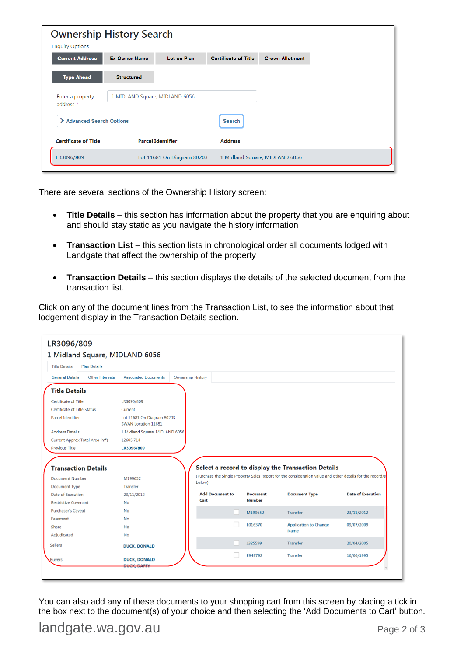| <b>Enquiry Options</b>        | <b>Ownership History Search</b> |                            |                             |                                |
|-------------------------------|---------------------------------|----------------------------|-----------------------------|--------------------------------|
| <b>Current Address</b>        | <b>Ex-Owner Name</b>            | Lot on Plan                | <b>Certificate of Title</b> | <b>Crown Allotment</b>         |
| <b>Type Ahead</b>             | <b>Structured</b>               |                            |                             |                                |
| Enter a property<br>address * | 1 MIDLAND Square, MIDLAND 6056  |                            |                             |                                |
| > Advanced Search Options     |                                 |                            | Search                      |                                |
| <b>Certificate of Title</b>   |                                 | <b>Parcel Identifier</b>   | <b>Address</b>              |                                |
| LR3096/809                    |                                 | Lot 11681 On Diagram 80203 |                             | 1 Midland Square, MIDLAND 6056 |

There are several sections of the Ownership History screen:

- **Title Details** this section has information about the property that you are enquiring about and should stay static as you navigate the history information
- **Transaction List** this section lists in chronological order all documents lodged with Landgate that affect the ownership of the property
- **Transaction Details** this section displays the details of the selected document from the transaction list.

Click on any of the document lines from the Transaction List, to see the information about that lodgement display in the Transaction Details section.

| <b>Title Details</b><br><b>Plan Details</b>                  |                                                          |                                          |                                  |                                                                                                                                   |                          |
|--------------------------------------------------------------|----------------------------------------------------------|------------------------------------------|----------------------------------|-----------------------------------------------------------------------------------------------------------------------------------|--------------------------|
| <b>General Details</b><br><b>Other Interests</b>             | <b>Associated Documents</b>                              | <b>Ownership History</b>                 |                                  |                                                                                                                                   |                          |
| <b>Title Details</b>                                         |                                                          |                                          |                                  |                                                                                                                                   |                          |
| Certificate of Title                                         | LR3096/809                                               |                                          |                                  |                                                                                                                                   |                          |
| Certificate of Title Status                                  | Current                                                  |                                          |                                  |                                                                                                                                   |                          |
| Parcel Identifier                                            | Lot 11681 On Diagram 80203<br><b>SWAN Location 11681</b> |                                          |                                  |                                                                                                                                   |                          |
| <b>Address Details</b>                                       | 1 Midland Square, MIDLAND 6056                           |                                          |                                  |                                                                                                                                   |                          |
| Current Approx Total Area (m <sup>2</sup> )                  | 12605.714                                                |                                          |                                  |                                                                                                                                   |                          |
|                                                              |                                                          |                                          |                                  |                                                                                                                                   |                          |
| <b>Previous Title</b><br><b>Transaction Details</b>          | LR3096/809                                               |                                          |                                  | Select a record to display the Transaction Details                                                                                |                          |
| <b>Document Number</b><br>Document Type<br>Date of Execution | M199652<br>Transfer<br>23/11/2012                        | below)<br><b>Add Document to</b><br>Cart | <b>Document</b><br><b>Number</b> | (Purchase the Single Property Sales Report for the consideration value and other details for the record/s<br><b>Document Type</b> | <b>Date of Execution</b> |
| <b>Restrictive Covenant</b><br><b>Purchaser's Caveat</b>     | No<br>No                                                 |                                          |                                  |                                                                                                                                   |                          |
| Easement                                                     | <b>No</b>                                                |                                          | M199652                          | <b>Transfer</b>                                                                                                                   | 23/11/2012               |
| Share                                                        | <b>No</b>                                                |                                          | L016370                          | <b>Application to Change</b>                                                                                                      | 09/07/2009               |
| Adjudicated                                                  | No                                                       |                                          |                                  | <b>Name</b>                                                                                                                       |                          |
| <b>Sellers</b>                                               | <b>DUCK, DONALD</b>                                      |                                          | J325599                          | <b>Transfer</b>                                                                                                                   | 20/04/2005               |

You can also add any of these documents to your shopping cart from this screen by placing a tick in the box next to the document(s) of your choice and then selecting the 'Add Documents to Cart' button.